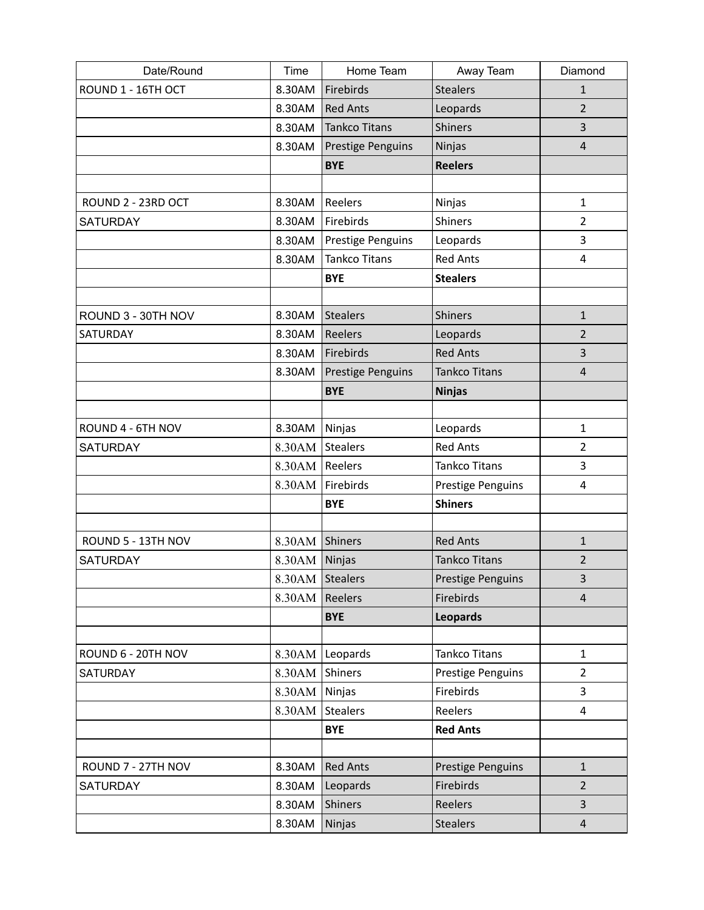| Date/Round         | Time            | Home Team                | Away Team                | Diamond        |
|--------------------|-----------------|--------------------------|--------------------------|----------------|
| ROUND 1 - 16TH OCT | 8.30AM          | Firebirds                | <b>Stealers</b>          | $\mathbf{1}$   |
|                    | 8.30AM          | <b>Red Ants</b>          | Leopards                 | $\overline{2}$ |
|                    | 8.30AM          | <b>Tankco Titans</b>     | <b>Shiners</b>           | 3              |
|                    | 8.30AM          | <b>Prestige Penguins</b> | Ninjas                   | $\overline{4}$ |
|                    |                 | <b>BYE</b>               | <b>Reelers</b>           |                |
|                    |                 |                          |                          |                |
| ROUND 2 - 23RD OCT | 8.30AM          | Reelers                  | Ninjas                   | $\mathbf{1}$   |
| <b>SATURDAY</b>    | 8.30AM          | Firebirds                | <b>Shiners</b>           | $\overline{2}$ |
|                    | 8.30AM          | Prestige Penguins        | Leopards                 | 3              |
|                    | 8.30AM          | <b>Tankco Titans</b>     | <b>Red Ants</b>          | $\overline{4}$ |
|                    |                 | <b>BYE</b>               | <b>Stealers</b>          |                |
|                    |                 |                          |                          |                |
| ROUND 3 - 30TH NOV | 8.30AM          | <b>Stealers</b>          | <b>Shiners</b>           | $\mathbf{1}$   |
| SATURDAY           | 8.30AM          | Reelers                  | Leopards                 | 2              |
|                    | 8.30AM          | Firebirds                | <b>Red Ants</b>          | 3              |
|                    | 8.30AM          | <b>Prestige Penguins</b> | <b>Tankco Titans</b>     | $\overline{4}$ |
|                    |                 | <b>BYE</b>               | <b>Ninjas</b>            |                |
|                    |                 |                          |                          |                |
| ROUND 4 - 6TH NOV  | 8.30AM          | Ninjas                   | Leopards                 | $\mathbf{1}$   |
| <b>SATURDAY</b>    | 8.30AM          | <b>Stealers</b>          | <b>Red Ants</b>          | $\overline{2}$ |
|                    | 8.30AM          | Reelers                  | Tankco Titans            | 3              |
|                    | 8.30AM          | Firebirds                | Prestige Penguins        | $\overline{4}$ |
|                    |                 | <b>BYE</b>               | <b>Shiners</b>           |                |
|                    |                 |                          |                          |                |
| ROUND 5 - 13TH NOV | 8.30AM Shiners  |                          | <b>Red Ants</b>          | $\mathbf 1$    |
| <b>SATURDAY</b>    | 8.30AM Ninjas   |                          | <b>Tankco Titans</b>     | 2              |
|                    | 8.30AM Stealers |                          | <b>Prestige Penguins</b> | 3              |
|                    | 8.30AM          | Reelers                  | Firebirds                | $\overline{4}$ |
|                    |                 | <b>BYE</b>               | Leopards                 |                |
|                    |                 |                          |                          |                |
| ROUND 6 - 20TH NOV | 8.30AM          | Leopards                 | Tankco Titans            | $\mathbf{1}$   |
| <b>SATURDAY</b>    | 8.30AM          | Shiners                  | Prestige Penguins        | $\overline{2}$ |
|                    | 8.30AM          | Ninjas                   | Firebirds                | 3              |
|                    | 8.30AM          | <b>Stealers</b>          | Reelers                  | $\overline{4}$ |
|                    |                 | <b>BYE</b>               | <b>Red Ants</b>          |                |
|                    |                 |                          |                          |                |
| ROUND 7 - 27TH NOV | 8.30AM          | <b>Red Ants</b>          | Prestige Penguins        | $\mathbf{1}$   |
| <b>SATURDAY</b>    | 8.30AM          | Leopards                 | Firebirds                | $\overline{2}$ |
|                    | 8.30AM          | <b>Shiners</b>           | Reelers                  | $\overline{3}$ |
|                    | 8.30AM          | Ninjas                   | <b>Stealers</b>          | $\overline{4}$ |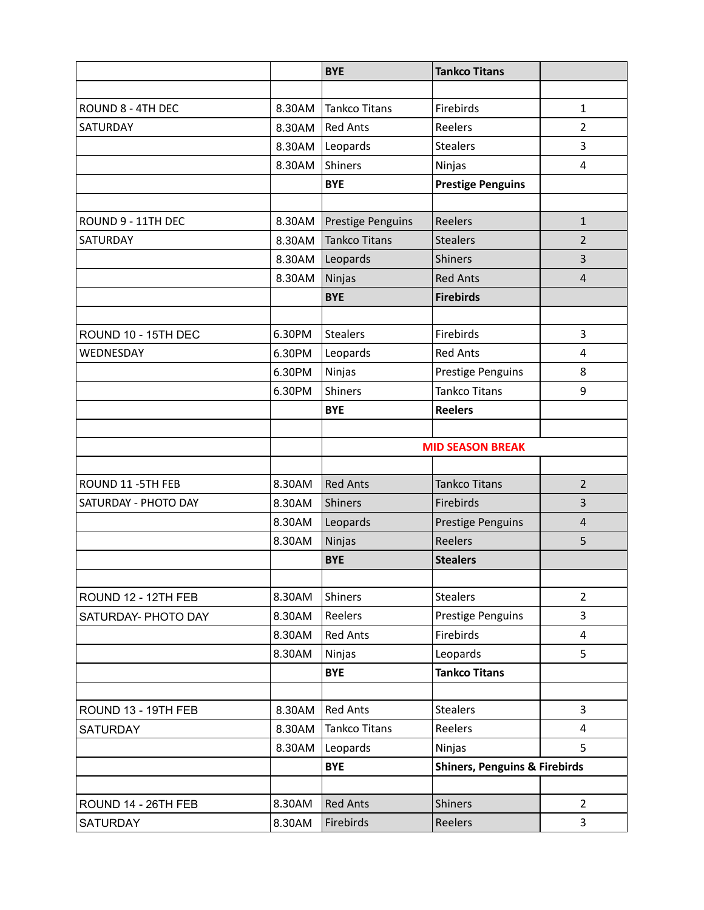|                      |        | <b>BYE</b>               | <b>Tankco Titans</b>                     |                |
|----------------------|--------|--------------------------|------------------------------------------|----------------|
|                      |        |                          |                                          |                |
| ROUND 8 - 4TH DEC    | 8.30AM | <b>Tankco Titans</b>     | Firebirds                                | $\mathbf{1}$   |
| SATURDAY             | 8.30AM | <b>Red Ants</b>          | Reelers                                  | $\overline{2}$ |
|                      | 8.30AM | Leopards                 | <b>Stealers</b>                          | 3              |
|                      | 8.30AM | Shiners                  | Ninjas                                   | 4              |
|                      |        | <b>BYE</b>               | <b>Prestige Penguins</b>                 |                |
|                      |        |                          |                                          |                |
| ROUND 9 - 11TH DEC   | 8.30AM | <b>Prestige Penguins</b> | Reelers                                  | $\mathbf{1}$   |
| SATURDAY             | 8.30AM | <b>Tankco Titans</b>     | <b>Stealers</b>                          | $\overline{2}$ |
|                      | 8.30AM | Leopards                 | <b>Shiners</b>                           | 3              |
|                      | 8.30AM | Ninjas                   | <b>Red Ants</b>                          | $\overline{4}$ |
|                      |        | <b>BYE</b>               | <b>Firebirds</b>                         |                |
|                      |        |                          |                                          |                |
| ROUND 10 - 15TH DEC  | 6.30PM | <b>Stealers</b>          | Firebirds                                | 3              |
| WEDNESDAY            | 6.30PM | Leopards                 | <b>Red Ants</b>                          | 4              |
|                      | 6.30PM | Ninjas                   | <b>Prestige Penguins</b>                 | 8              |
|                      | 6.30PM | <b>Shiners</b>           | <b>Tankco Titans</b>                     | 9              |
|                      |        | <b>BYE</b>               | <b>Reelers</b>                           |                |
|                      |        |                          |                                          |                |
|                      |        | <b>MID SEASON BREAK</b>  |                                          |                |
|                      |        |                          |                                          |                |
| ROUND 11 - 5TH FEB   | 8.30AM | <b>Red Ants</b>          | <b>Tankco Titans</b>                     | $\overline{2}$ |
| SATURDAY - PHOTO DAY | 8.30AM | <b>Shiners</b>           | Firebirds                                | 3              |
|                      | 8.30AM | Leopards                 | <b>Prestige Penguins</b>                 | $\overline{4}$ |
|                      | 8.30AM | Ninjas                   | Reelers                                  | 5              |
|                      |        | <b>BYE</b>               | <b>Stealers</b>                          |                |
|                      |        |                          |                                          |                |
| ROUND 12 - 12TH FEB  | 8.30AM | Shiners                  | <b>Stealers</b>                          | $\overline{2}$ |
| SATURDAY- PHOTO DAY  | 8.30AM | Reelers                  | <b>Prestige Penguins</b>                 | 3              |
|                      | 8.30AM | <b>Red Ants</b>          | Firebirds                                | 4              |
|                      | 8.30AM | Ninjas                   | Leopards                                 | 5              |
|                      |        | <b>BYE</b>               | <b>Tankco Titans</b>                     |                |
|                      |        |                          |                                          |                |
| ROUND 13 - 19TH FEB  | 8.30AM | <b>Red Ants</b>          | <b>Stealers</b>                          | 3              |
| <b>SATURDAY</b>      | 8.30AM | <b>Tankco Titans</b>     | Reelers                                  | 4              |
|                      | 8.30AM | Leopards                 | Ninjas                                   | 5              |
|                      |        | <b>BYE</b>               | <b>Shiners, Penguins &amp; Firebirds</b> |                |
|                      |        |                          |                                          |                |
| ROUND 14 - 26TH FEB  | 8.30AM | <b>Red Ants</b>          | <b>Shiners</b>                           | $\overline{2}$ |
| <b>SATURDAY</b>      | 8.30AM | Firebirds                | Reelers                                  | 3              |